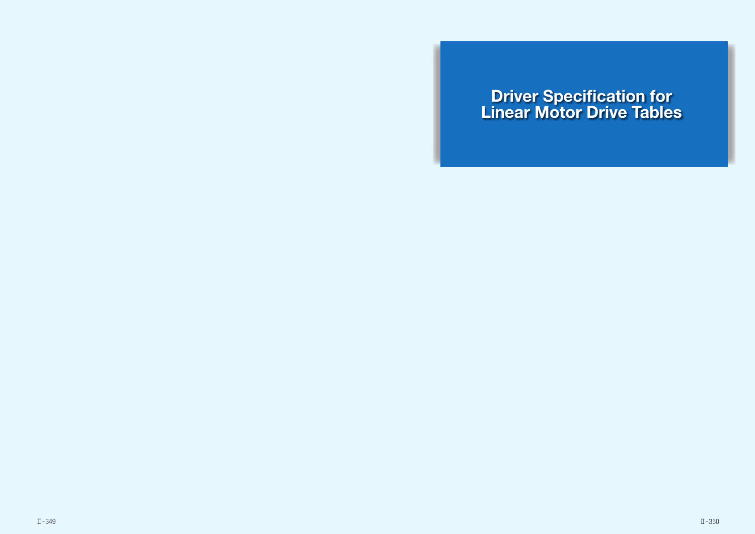# Driver Specification for Linear Motor Drive Tables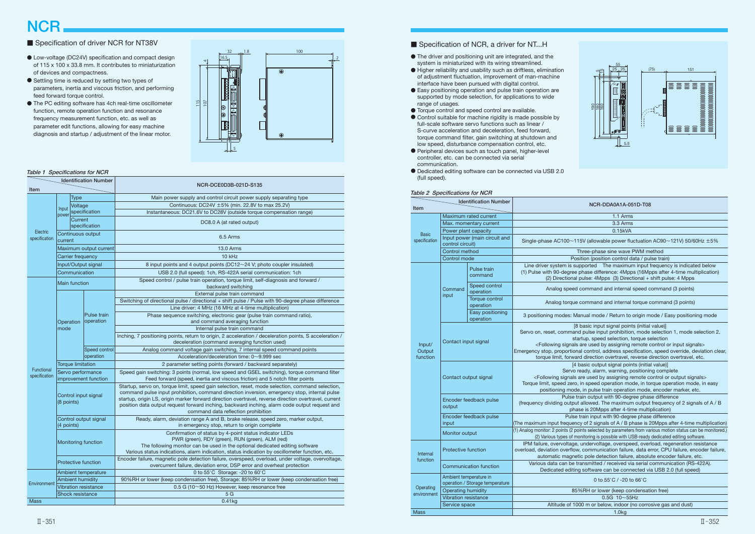# **NCR**

# ■ Specification of driver NCR for NT38V



- The driver and positioning unit are integrated, and the system is miniaturized with its wiring streamlined.
- Higher reliability and usability such as driftless, elimination of adjustment fluctuation, improvement of man-machine interface have been pursued with digital control.
- Easy positioning operation and pulse train operation are supported by mode selection, for applications to wide range of usages.
- Torque control and speed control are available.
- Control suitable for machine rigidity is made possible by full-scale software servo functions such as linear / S-curve acceleration and deceleration, feed forward, torque command filter, gain switching at shutdown and low speed, disturbance compensation control, etc.
- Peripheral devices such as touch panel, higher-level controller, etc. can be connected via serial communication.
- Dedicated editing software can be connected via USB 2.0 (full speed).

#### Table 2 Specifications for NCR

| $\frac{1}{2}$ epochiodrono ionno<br><b>Identification Number</b> |                                                           |                               |                                                                                                                                                                                                                                                                     |  |  |
|------------------------------------------------------------------|-----------------------------------------------------------|-------------------------------|---------------------------------------------------------------------------------------------------------------------------------------------------------------------------------------------------------------------------------------------------------------------|--|--|
| <b>Item</b>                                                      |                                                           |                               | NCR-DDA0A1A-051D-T08                                                                                                                                                                                                                                                |  |  |
|                                                                  | Maximum rated current                                     |                               | 1.1 Arms                                                                                                                                                                                                                                                            |  |  |
|                                                                  | Max. momentary current                                    |                               | 3.3 Arms                                                                                                                                                                                                                                                            |  |  |
| <b>Basic</b>                                                     | Power plant capacity                                      |                               | 0.15kVA                                                                                                                                                                                                                                                             |  |  |
| specification                                                    | control circuit)                                          | Input power (main circuit and | Single-phase AC100~115V (allowable power fluctuation AC90~121V) 50/60Hz $\pm$ 5%                                                                                                                                                                                    |  |  |
|                                                                  | Control method                                            |                               | Three-phase sine wave PWM method                                                                                                                                                                                                                                    |  |  |
|                                                                  | Control mode                                              |                               | Position (position control data / pulse train)                                                                                                                                                                                                                      |  |  |
|                                                                  |                                                           | Pulse train<br>command        | Line driver system is supported The maximum input frequency is indicated below<br>(1) Pulse with 90-degree phase difference: 4Mpps (16Mpps after 4-time multiplication)<br>(2) Directional pulse: 4Mpps (3) Directional + shift pulse: 4 Mpps                       |  |  |
|                                                                  | Command<br>input                                          | Speed control<br>operation    | Analog speed command and internal speed command (3 points)                                                                                                                                                                                                          |  |  |
|                                                                  |                                                           | Torque control<br>operation   | Analog torque command and internal torque command (3 points)                                                                                                                                                                                                        |  |  |
|                                                                  |                                                           | Easy positioning<br>operation | 3 positioning modes: Manual mode / Return to origin mode / Easy positioning mode                                                                                                                                                                                    |  |  |
|                                                                  |                                                           |                               | [8 basic input signal points (initial value)]                                                                                                                                                                                                                       |  |  |
|                                                                  |                                                           |                               | Servo on, reset, command pulse input prohibition, mode selection 1, mode selection 2,                                                                                                                                                                               |  |  |
|                                                                  | Contact input signal                                      |                               | startup, speed selection, torque selection                                                                                                                                                                                                                          |  |  |
| Input/<br>Output                                                 |                                                           |                               | <following are="" assigning="" by="" control="" input="" or="" remote="" signals="" used=""><br/>Emergency stop, proportional control, address specification, speed override, deviation clear,</following>                                                          |  |  |
| function                                                         |                                                           |                               | torque limit, forward direction overtravel, reverse direction overtravel, etc.                                                                                                                                                                                      |  |  |
|                                                                  |                                                           |                               | [4 basic output signal points (initial value)]                                                                                                                                                                                                                      |  |  |
|                                                                  |                                                           |                               | Servo ready, alarm, warning, positioning complete                                                                                                                                                                                                                   |  |  |
|                                                                  |                                                           | Contact output signal         | <following are="" assigning="" by="" control="" or="" output="" remote="" signals="" used=""></following>                                                                                                                                                           |  |  |
|                                                                  |                                                           |                               | Torque limit, speed zero, in speed operation mode, in torque operation mode, in easy                                                                                                                                                                                |  |  |
|                                                                  |                                                           |                               | positioning mode, in pulse train operation mode, encoder marker, etc.                                                                                                                                                                                               |  |  |
|                                                                  |                                                           | Encoder feedback pulse        | Pulse train output with 90-degree phase difference                                                                                                                                                                                                                  |  |  |
|                                                                  | output                                                    |                               | (frequency dividing output allowed. The maximum output frequency of 2 signals of A / B<br>phase is 20Mpps after 4-time multiplication)                                                                                                                              |  |  |
|                                                                  |                                                           | Encoder feedback pulse        | Pulse train input with 90-degree phase difference                                                                                                                                                                                                                   |  |  |
|                                                                  | input                                                     |                               | (The maximum input frequency of 2 signals of A / B phase is 20Mpps after 4-time multiplication)                                                                                                                                                                     |  |  |
|                                                                  | Monitor output                                            |                               | (1) Analog monitor: 2 points (2 points selected by parameters from various motion status can be monitored.)<br>(2) Various types of monitoring is possible with USB-ready dedicated editing software.                                                               |  |  |
| <b>Internal</b><br>function                                      | <b>Protective function</b>                                |                               | IPM failure, overvoltage, undervoltage, overspeed, overload, regeneration resistance<br>overload, deviation overflow, communication failure, data error, CPU failure, encoder failure,<br>automatic magnetic pole detection failure, absolute encoder failure, etc. |  |  |
|                                                                  | Communication function                                    |                               | Various data can be transmitted / received via serial communication (RS-422A).<br>Dedicated editing software can be connected via USB 2.0 (full speed)                                                                                                              |  |  |
|                                                                  | Ambient temperature in<br>operation / Storage temperature |                               | 0 to $55^{\circ}$ C / -20 to $66^{\circ}$ C                                                                                                                                                                                                                         |  |  |
| Operating                                                        | Operating humidity                                        |                               | 85%RH or lower (keep condensation free)                                                                                                                                                                                                                             |  |  |
| environment                                                      | <b>Vibration resistance</b>                               |                               | $0.5G$ 10~55Hz                                                                                                                                                                                                                                                      |  |  |
|                                                                  | Service space                                             |                               | Altitude of 1000 m or below, indoor (no corrosive gas and dust)                                                                                                                                                                                                     |  |  |
| Mass                                                             |                                                           |                               | 1.0 <sub>kg</sub>                                                                                                                                                                                                                                                   |  |  |

- Low-voltage (DC24V) specification and compact design of 115 x 100 x 33.8 mm. It contributes to miniaturization of devices and compactness.
- Settling time is reduced by setting two types of parameters, inertia and viscous friction, and performing feed forward torque control.
- The PC editing software has 4ch real-time oscillometer function, remote operation function and resonance frequency measurement function, etc. as well as parameter edit functions, allowing for easy machine diagnosis and startup / adjustment of the linear motor.

### Table 1 Specifications for NCR

| Identification Number<br>Item |                                           |                             | NCR-DCE0D3B-021D-S135                                                                                                                                                                                                                                                                                                                                                                                                                             |  |  |
|-------------------------------|-------------------------------------------|-----------------------------|---------------------------------------------------------------------------------------------------------------------------------------------------------------------------------------------------------------------------------------------------------------------------------------------------------------------------------------------------------------------------------------------------------------------------------------------------|--|--|
| <b>Type</b>                   |                                           |                             | Main power supply and control circuit power supply separating type                                                                                                                                                                                                                                                                                                                                                                                |  |  |
| Electric<br>specification     |                                           | Voltage                     | Continuous: DC24V ±5% (min. 22.8V to max 25.2V)                                                                                                                                                                                                                                                                                                                                                                                                   |  |  |
|                               | Input                                     | specification               | Instantaneous: DC21.6V to DC28V (outside torque compensation range)                                                                                                                                                                                                                                                                                                                                                                               |  |  |
|                               | power<br>Current<br>specification         |                             | DC8.0 A (at rated output)                                                                                                                                                                                                                                                                                                                                                                                                                         |  |  |
|                               | Continuous output<br>current              |                             | 6.5 Arms                                                                                                                                                                                                                                                                                                                                                                                                                                          |  |  |
|                               | Maximum output current                    |                             | <b>13.0 Arms</b>                                                                                                                                                                                                                                                                                                                                                                                                                                  |  |  |
|                               | Carrier frequency                         |                             | $10$ kHz                                                                                                                                                                                                                                                                                                                                                                                                                                          |  |  |
|                               |                                           | Input/Output signal         | 8 input points and 4 output points (DC12~24 V; photo coupler insulated)                                                                                                                                                                                                                                                                                                                                                                           |  |  |
|                               | Communication                             |                             | USB 2.0 (full speed): 1ch, RS-422A serial communication: 1ch                                                                                                                                                                                                                                                                                                                                                                                      |  |  |
|                               | <b>Main function</b>                      |                             | Speed control / pulse train operation, torque limit, self-diagnosis and forward /<br>backward switching                                                                                                                                                                                                                                                                                                                                           |  |  |
|                               |                                           |                             | External pulse train command                                                                                                                                                                                                                                                                                                                                                                                                                      |  |  |
|                               |                                           |                             | Switching of directional pulse / directional + shift pulse / Pulse with 90-degree phase difference                                                                                                                                                                                                                                                                                                                                                |  |  |
|                               |                                           |                             | Line driver: 4 MHz (16 MHz at 4-time multiplication)                                                                                                                                                                                                                                                                                                                                                                                              |  |  |
|                               |                                           | Pulse train                 | Phase sequence switching, electronic gear (pulse train command ratio),                                                                                                                                                                                                                                                                                                                                                                            |  |  |
|                               | Operation                                 | operation                   | and command averaging function                                                                                                                                                                                                                                                                                                                                                                                                                    |  |  |
|                               | mode                                      |                             | Internal pulse train command                                                                                                                                                                                                                                                                                                                                                                                                                      |  |  |
|                               |                                           |                             | Inching, 7 positioning points, return to origin, 2 acceleration / deceleration points, S acceleration /<br>deceleration (command averaging function used)                                                                                                                                                                                                                                                                                         |  |  |
|                               |                                           | Speed control               | Analog command voltage gain switching, 7 internal speed command points                                                                                                                                                                                                                                                                                                                                                                            |  |  |
|                               |                                           | operation                   | Acceleration/deceleration time: $0 \sim 9.999$ sec                                                                                                                                                                                                                                                                                                                                                                                                |  |  |
| Functional                    | <b>Torque limitation</b>                  |                             | 2 parameter setting points (forward / backward separately)                                                                                                                                                                                                                                                                                                                                                                                        |  |  |
| specification                 | Servo performance<br>improvement function |                             | Speed gain switching: 3 points (normal, low speed and GSEL switching), torque command filter<br>Feed forward (speed, inertia and viscous friction) and 5 notch filter points                                                                                                                                                                                                                                                                      |  |  |
|                               | Control input signal<br>(8 points)        |                             | Startup, servo on, torque limit, speed gain selection, reset, mode selection, command selection,<br>command pulse input prohibition, command direction inversion, emergency stop, internal pulse<br>startup, origin LS, origin marker forward direction overtravel, reverse direction overtravel, current<br>position data output request forward inching, backward inching, alarm code output request and<br>command data reflection prohibition |  |  |
|                               | Control output signal<br>(4 points)       |                             | Ready, alarm, deviation range A and B, brake release, speed zero, marker output,<br>in emergency stop, return to origin complete                                                                                                                                                                                                                                                                                                                  |  |  |
|                               | Monitoring function                       |                             | Confirmation of status by 4-point status indicator LEDs<br>PWR (green), RDY (green), RUN (green), ALM (red)<br>The following monitor can be used in the optional dedicated editing software<br>Various status indications, alarm indication, status indication by oscillometer function, etc.                                                                                                                                                     |  |  |
|                               | Protective function                       |                             | Encoder failure, magnetic pole detection failure, overspeed, overload, under voltage, overvoltage,<br>overcurrent failure, deviation error, DSP error and overheat protection                                                                                                                                                                                                                                                                     |  |  |
|                               |                                           | Ambient temperature         | 0 to 55°C Storage: -20 to 60°C                                                                                                                                                                                                                                                                                                                                                                                                                    |  |  |
| Environment                   | <b>Ambient humidity</b>                   |                             | 90%RH or lower (keep condensation free), Storage: 85%RH or lower (keep condensation free)                                                                                                                                                                                                                                                                                                                                                         |  |  |
|                               |                                           | <b>Vibration resistance</b> | 0.5 G (10~50 Hz) However, keep resonance free                                                                                                                                                                                                                                                                                                                                                                                                     |  |  |
|                               | Shock resistance                          |                             | 5G                                                                                                                                                                                                                                                                                                                                                                                                                                                |  |  |
| <b>Mass</b>                   |                                           |                             | $0.41$ <sub>kg</sub>                                                                                                                                                                                                                                                                                                                                                                                                                              |  |  |

# ■ Specification of NCR, a driver for NT...H

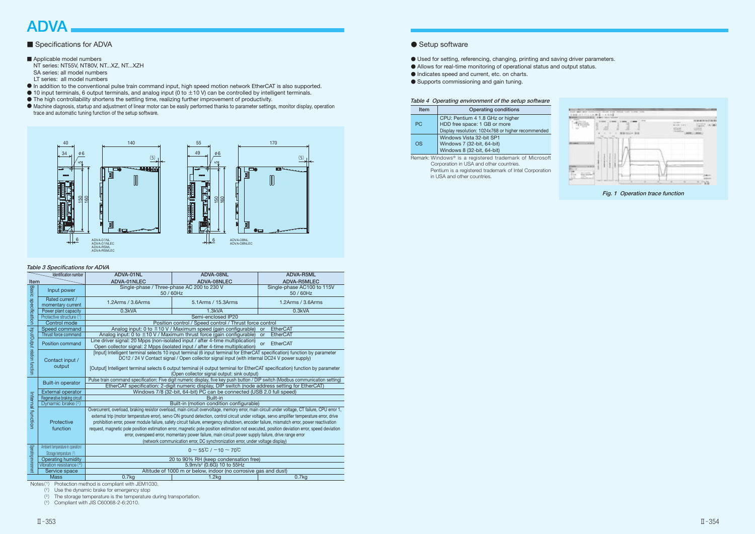# ADVA

# ■ Specifications for ADVA

# ■ Applicable model numbers

 NT series: NT55V, NT80V, NT...XZ, NT...XZH SA series: all model numbers LT series: all model numbers

- In addition to the conventional pulse train command input, high speed motion network EtherCAT is also supported.
- $\bullet$  10 input terminals, 6 output terminals, and analog input (0 to  $\pm$  10 V) can be controlled by intelligent terminals.
- The high controllability shortens the settling time, realizing further improvement of productivity.
- Machine diagnosis, startup and adjustment of linear motor can be easily performed thanks to parameter settings, monitor display, operation trace and automatic tuning function of the setup software.
- Used for setting, referencing, changing, printing and saving driver parameters.
- Allows for real-time monitoring of operational status and output status.
- Indicates speed and current, etc. on charts.
- Supports commissioning and gain tuning.

#### Table 4 Operating environment of the setup software

| <b>Item</b>                                             | Operating conditions                               |  |  |  |
|---------------------------------------------------------|----------------------------------------------------|--|--|--|
|                                                         | CPU: Pentium 4 1.8 GHz or higher                   |  |  |  |
| PC.                                                     | HDD free space: 1 GB or more                       |  |  |  |
|                                                         | Display resolution: 1024x768 or higher recommended |  |  |  |
|                                                         | Windows Vista 32-bit SP1                           |  |  |  |
| <b>OS</b>                                               | Windows 7 (32-bit, 64-bit)                         |  |  |  |
|                                                         | Windows 8 (32-bit, 64-bit)                         |  |  |  |
| Domark: Windows® is a registered tradomark of Microsoft |                                                    |  |  |  |

Remark: Windows® is a registered trademark of Microsoft Corporation in USA and other countries. Pentium is a registered trademark of Intel Corporation in USA and other countries.



Fig. 1 Operation trace function

### Table 3 Specifications for ADVA

| Identification number          |                                                              | ADVA-01NL                                                                                                                                                                                                                                                                                                                                                                                                                                                                                                                                                                                                                                                                                                                                                                           | ADVA-08NL                                  | ADVA-R5ML                                        |  |  |  |
|--------------------------------|--------------------------------------------------------------|-------------------------------------------------------------------------------------------------------------------------------------------------------------------------------------------------------------------------------------------------------------------------------------------------------------------------------------------------------------------------------------------------------------------------------------------------------------------------------------------------------------------------------------------------------------------------------------------------------------------------------------------------------------------------------------------------------------------------------------------------------------------------------------|--------------------------------------------|--------------------------------------------------|--|--|--|
| Item                           |                                                              | ADVA-01NLEC                                                                                                                                                                                                                                                                                                                                                                                                                                                                                                                                                                                                                                                                                                                                                                         | ADVA-08NLEC                                | <b>ADVA-R5MLEC</b><br>Single-phase AC100 to 115V |  |  |  |
|                                | Input power                                                  |                                                                                                                                                                                                                                                                                                                                                                                                                                                                                                                                                                                                                                                                                                                                                                                     | Single-phase / Three-phase AC 200 to 230 V |                                                  |  |  |  |
| Basic specification            |                                                              | 50 / 60Hz                                                                                                                                                                                                                                                                                                                                                                                                                                                                                                                                                                                                                                                                                                                                                                           |                                            | 50 / 60Hz                                        |  |  |  |
|                                | Rated current /<br>momentary current                         | 1.2Arms / 3.6Arms                                                                                                                                                                                                                                                                                                                                                                                                                                                                                                                                                                                                                                                                                                                                                                   | 1.2Arms / 3.6Arms                          |                                                  |  |  |  |
|                                | Power plant capacity                                         | 0.3kVA                                                                                                                                                                                                                                                                                                                                                                                                                                                                                                                                                                                                                                                                                                                                                                              | 1.3kVA                                     |                                                  |  |  |  |
|                                | Protective structure (1)                                     | Semi-enclosed IP20                                                                                                                                                                                                                                                                                                                                                                                                                                                                                                                                                                                                                                                                                                                                                                  |                                            |                                                  |  |  |  |
|                                | Control mode                                                 | Position control / Speed control / Thrust force control                                                                                                                                                                                                                                                                                                                                                                                                                                                                                                                                                                                                                                                                                                                             |                                            |                                                  |  |  |  |
|                                | Speed command                                                | Analog input: 0 to $\pm$ 10 V / Maximum speed (gain configurable)<br><b>EtherCAT</b><br>or                                                                                                                                                                                                                                                                                                                                                                                                                                                                                                                                                                                                                                                                                          |                                            |                                                  |  |  |  |
|                                | Thrust force command                                         | Analog input: 0 to $\pm$ 10 V / Maximum thrust force (gain configurable)<br><b>EtherCAT</b><br>or                                                                                                                                                                                                                                                                                                                                                                                                                                                                                                                                                                                                                                                                                   |                                            |                                                  |  |  |  |
|                                | Position command                                             | Line driver signal: 20 Mpps (non-isolated input / after 4-time multiplication)<br><b>EtherCAT</b><br>$\alpha$ r<br>Open collector signal: 2 Mpps (isolated input / after 4-time multiplication)                                                                                                                                                                                                                                                                                                                                                                                                                                                                                                                                                                                     |                                            |                                                  |  |  |  |
| Input/Output relation function | Contact input /<br>output                                    | [Input] Intelligent terminal selects 10 input terminal (6 input terminal for EtherCAT specification) function by parameter<br>DC12 / 24 V Contact signal / Open collector signal input (with internal DC24 V power supply)<br>[Output] Intelligent terminal selects 6 output terminal (4 output terminal for EtherCAT specification) function by parameter<br>(Open collector signal output: sink output)                                                                                                                                                                                                                                                                                                                                                                           |                                            |                                                  |  |  |  |
|                                |                                                              | Pulse train command specification: Five digit numeric display, five key push button / DIP switch (Modbus communication setting)                                                                                                                                                                                                                                                                                                                                                                                                                                                                                                                                                                                                                                                     |                                            |                                                  |  |  |  |
|                                | <b>Built-in operator</b>                                     | EtherCAT specification: 2-digit numeric display, DIP switch (node address setting for EtherCAT)                                                                                                                                                                                                                                                                                                                                                                                                                                                                                                                                                                                                                                                                                     |                                            |                                                  |  |  |  |
|                                | <b>External operator</b>                                     | Windows 7/8 (32-bit, 64-bit) PC can be connected (USB 2.0 full speed)                                                                                                                                                                                                                                                                                                                                                                                                                                                                                                                                                                                                                                                                                                               |                                            |                                                  |  |  |  |
|                                | Regenerative braking circuit                                 | Built-in                                                                                                                                                                                                                                                                                                                                                                                                                                                                                                                                                                                                                                                                                                                                                                            |                                            |                                                  |  |  |  |
|                                | Dynamic brake (2)                                            | Built-in (motion condition configurable)                                                                                                                                                                                                                                                                                                                                                                                                                                                                                                                                                                                                                                                                                                                                            |                                            |                                                  |  |  |  |
| Internal function              | Protective<br>function                                       | Overcurrent, overload, braking resistor overload, main circuit overvoltage, memory error, main circuit under voltage, CT failure, CPU error 1,<br>external trip (motor temperature error), servo ON ground detection, control circuit under voltage, servo amplifier temperature error, drive<br>prohibition error, power module failure, safety circuit failure, emergency shutdown, encoder failure, mismatch error, power reactivation<br>request, magnetic pole position estimation error, magnetic pole position estimation not executed, position deviation error, speed deviation<br>error, overspeed error, momentary power failure, main circuit power supply failure, drive range error<br>(network communication error, DC synchronization error, under voltage display) |                                            |                                                  |  |  |  |
| Operating environment          | Ambient temperature in operation/<br>Storage temperature (3) | $0 \sim 55^{\circ}$ C / $-10 \sim 70^{\circ}$ C                                                                                                                                                                                                                                                                                                                                                                                                                                                                                                                                                                                                                                                                                                                                     |                                            |                                                  |  |  |  |
|                                | <b>Operating humidity</b>                                    | 20 to 90% RH (keep condensation free)                                                                                                                                                                                                                                                                                                                                                                                                                                                                                                                                                                                                                                                                                                                                               |                                            |                                                  |  |  |  |
|                                | Vibration resistance (4)                                     | 5.9m/s <sup>2</sup> (0.6G) 10 to 55Hz                                                                                                                                                                                                                                                                                                                                                                                                                                                                                                                                                                                                                                                                                                                                               |                                            |                                                  |  |  |  |
|                                | Service space                                                | Altitude of 1000 m or below, indoor (no corrosive gas and dust)                                                                                                                                                                                                                                                                                                                                                                                                                                                                                                                                                                                                                                                                                                                     |                                            |                                                  |  |  |  |
|                                | <b>Mass</b>                                                  | 0.7kg                                                                                                                                                                                                                                                                                                                                                                                                                                                                                                                                                                                                                                                                                                                                                                               | 1.2kg                                      | 0.7kg                                            |  |  |  |

Notes(<sup>1</sup>) Protection method is compliant with JEM1030.

(<sup>2</sup>) Use the dynamic brake for emergency stop

(<sup>3</sup>) The storage temperature is the temperature during transportation.

(<sup>4</sup>) Compliant with JIS C60068-2-6:2010.

# ● Setup software

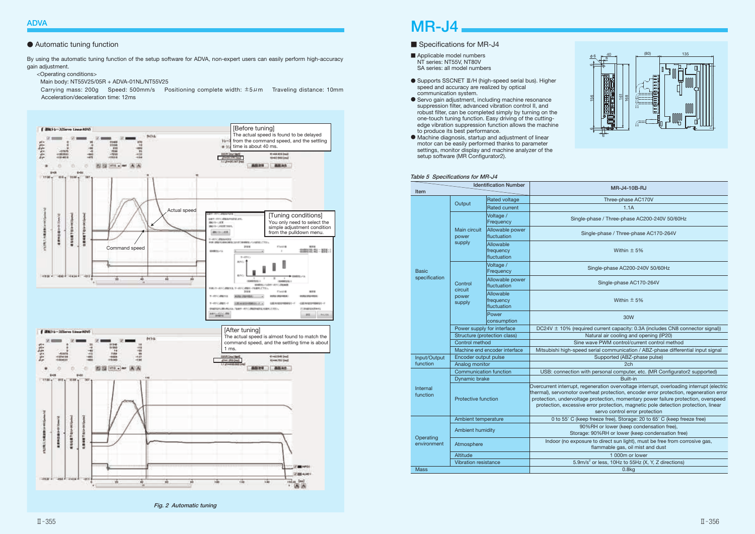# MR-J4

### ■ Specifications for MR-J4

- Applicable model numbers NT series: NT55V, NT80V SA series: all model numbers
- Supports SSCNET Ⅲ/H (high-speed serial bus). Higher speed and accuracy are realized by optical communication system.
- Servo gain adjustment, including machine resonance suppression filter, advanced vibration control II, and robust filter, can be completed simply by turning on the one-touch tuning function. Easy driving of the cuttingedge vibration suppression function allows the machine to produce its best performance.
- Machine diagnosis, startup and adjustment of linear motor can be easily performed thanks to parameter settings, monitor display and machine analyzer of the setup software (MR Configurator2).

By using the automatic tuning function of the setup software for ADVA, non-expert users can easily perform high-accuracy gain adjustment.

<Operating conditions>

Main body: NT55V25/05R + ADVA-01NL/NT55V25

 Carrying mass: 200g Speed: 500mm/s Positioning complete width: ±5μm Traveling distance: 10mm Acceleration/deceleration time: 12ms



### Fig. 2 Automatic tuning



|  | <b>MR-J4-10B-RJ</b> |  |
|--|---------------------|--|
|  |                     |  |

#### Table 5 Specifications for MR-J4

# ● Automatic tuning function

| <b>Identification Number</b><br>Item |                               |                                       | MR-J4-10B-RJ                                                                                                                                                                                                                                                                                                                                                                                       |
|--------------------------------------|-------------------------------|---------------------------------------|----------------------------------------------------------------------------------------------------------------------------------------------------------------------------------------------------------------------------------------------------------------------------------------------------------------------------------------------------------------------------------------------------|
|                                      |                               | <b>Rated voltage</b>                  | Three-phase AC170V                                                                                                                                                                                                                                                                                                                                                                                 |
|                                      | Output                        | <b>Rated current</b>                  | 1.1A                                                                                                                                                                                                                                                                                                                                                                                               |
|                                      | Main circuit<br>power         | Voltage /<br>Frequency                | Single-phase / Three-phase AC200-240V 50/60Hz                                                                                                                                                                                                                                                                                                                                                      |
|                                      |                               | Allowable power<br>fluctuation        | Single-phase / Three-phase AC170-264V                                                                                                                                                                                                                                                                                                                                                              |
|                                      | supply                        | Allowable<br>frequency<br>fluctuation | Within $\pm$ 5%                                                                                                                                                                                                                                                                                                                                                                                    |
| <b>Basic</b>                         |                               | Voltage /<br>Frequency                | Single-phase AC200-240V 50/60Hz                                                                                                                                                                                                                                                                                                                                                                    |
| specification                        | Control<br>circuit            | Allowable power<br>fluctuation        | Single-phase AC170-264V                                                                                                                                                                                                                                                                                                                                                                            |
|                                      | power<br>supply               | Allowable<br>frequency<br>fluctuation | Within $\pm$ 5%                                                                                                                                                                                                                                                                                                                                                                                    |
|                                      |                               | Power<br>consumption                  | 30W                                                                                                                                                                                                                                                                                                                                                                                                |
|                                      | Power supply for interface    |                                       | DC24V $\pm$ 10% (required current capacity: 0.3A (includes CN8 connector signal))                                                                                                                                                                                                                                                                                                                  |
|                                      |                               | Structure (protection class)          | Natural air cooling and opening (IP20)                                                                                                                                                                                                                                                                                                                                                             |
|                                      | Control method                |                                       | Sine wave PWM control/current control method                                                                                                                                                                                                                                                                                                                                                       |
|                                      |                               | Machine end encoder interface         | Mitsubishi high-speed serial communication / ABZ-phase differential input signal                                                                                                                                                                                                                                                                                                                   |
| Input/Output                         | Encoder output pulse          |                                       | Supported (ABZ-phase pulse)                                                                                                                                                                                                                                                                                                                                                                        |
| function                             | Analog monitor                |                                       | 2 <sub>ch</sub>                                                                                                                                                                                                                                                                                                                                                                                    |
|                                      | <b>Communication function</b> |                                       | USB: connection with personal computer, etc. (MR Configurator2 supported)                                                                                                                                                                                                                                                                                                                          |
|                                      | <b>Dynamic brake</b>          |                                       | Built-in                                                                                                                                                                                                                                                                                                                                                                                           |
| Internal<br>function                 | Protective function           |                                       | Overcurrent interrupt, regeneration overvoltage interrupt, overloading interrupt (electric<br>thermal), servomotor overheat protection, encoder error protection, regeneration error<br>protection, undervoltage protection, momentary power failure protection, overspeed<br>protection, excessive error protection, magnetic pole detection protection, linear<br>servo control error protection |
|                                      | Ambient temperature           |                                       | 0 to 55° C (keep freeze free), Storage: 20 to 65° C (keep freeze free)                                                                                                                                                                                                                                                                                                                             |
|                                      | <b>Ambient humidity</b>       |                                       | 90%RH or lower (keep condensation free),<br>Storage: 90%RH or lower (keep condensation free)                                                                                                                                                                                                                                                                                                       |
| Operating<br>environment             | Atmosphere                    |                                       | Indoor (no exposure to direct sun light), must be free from corrosive gas,<br>flammable gas, oil mist and dust                                                                                                                                                                                                                                                                                     |
|                                      | Altitude                      |                                       | 1 000m or lower                                                                                                                                                                                                                                                                                                                                                                                    |
| <b>Vibration resistance</b>          |                               |                                       | 5.9m/s <sup>2</sup> or less, 10Hz to 55Hz (X, Y, Z directions)                                                                                                                                                                                                                                                                                                                                     |
| <b>Mass</b>                          |                               |                                       | 0.8kg                                                                                                                                                                                                                                                                                                                                                                                              |